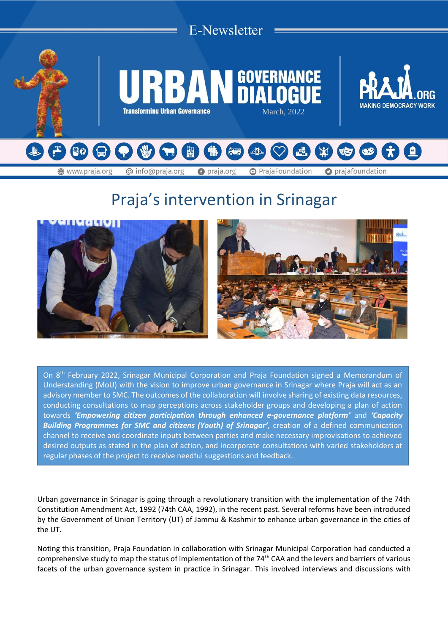

# Praja's intervention in Srinagar



On 8th February 2022, Srinagar Municipal Corporation and Praja Foundation signed a Memorandum of Understanding (MoU) with the vision to improve urban governance in Srinagar where Praja will act as an advisory member to SMC. The outcomes of the collaboration will involve sharing of existing data resources, conducting consultations to map perceptions across stakeholder groups and developing a plan of action towards *'Empowering citizen participation through enhanced e-governance platform'* and *'Capacity Building Programmes for SMC and citizens (Youth) of Srinagar'*, creation of a defined communication channel to receive and coordinate inputs between parties and make necessary improvisations to achieved desired outputs as stated in the plan of action, and incorporate consultations with varied stakeholders at regular phases of the project to receive needful suggestions and feedback.

Urban governance in Srinagar is going through a revolutionary transition with the implementation of the 74th Constitution Amendment Act, 1992 (74th CAA, 1992), in the recent past. Several reforms have been introduced by the Government of Union Territory (UT) of Jammu & Kashmir to enhance urban governance in the cities of the UT.

Noting this transition, Praja Foundation in collaboration with Srinagar Municipal Corporation had conducted a comprehensive study to map the status of implementation of the 74th CAA and the levers and barriers of various facets of the urban governance system in practice in Srinagar. This involved interviews and discussions with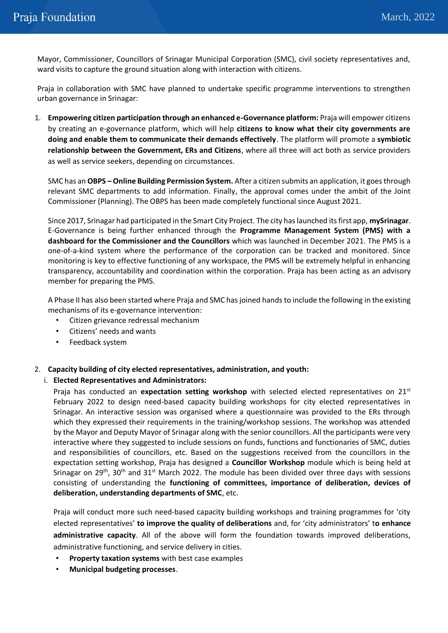Mayor, Commissioner, Councillors of Srinagar Municipal Corporation (SMC), civil society representatives and, ward visits to capture the ground situation along with interaction with citizens.

Praja in collaboration with SMC have planned to undertake specific programme interventions to strengthen urban governance in Srinagar:

1. **Empowering citizen participation through an enhanced e-Governance platform:** Praja will empower citizens by creating an e-governance platform, which will help **citizens to know what their city governments are doing and enable them to communicate their demands effectively**. The platform will promote a **symbiotic relationship between the Government, ERs and Citizens**, where all three will act both as service providers as well as service seekers, depending on circumstances.

SMC has an **OBPS – Online Building Permission System.** After a citizen submits an application, it goes through relevant SMC departments to add information. Finally, the approval comes under the ambit of the Joint Commissioner (Planning). The OBPS has been made completely functional since August 2021.

Since 2017, Srinagar had participated in the Smart City Project. The city has launched its first app, **mySrinagar**. E-Governance is being further enhanced through the **Programme Management System (PMS) with a dashboard for the Commissioner and the Councillors** which was launched in December 2021. The PMS is a one-of-a-kind system where the performance of the corporation can be tracked and monitored. Since monitoring is key to effective functioning of any workspace, the PMS will be extremely helpful in enhancing transparency, accountability and coordination within the corporation. Praja has been acting as an advisory member for preparing the PMS.

A Phase II has also been started where Praja and SMC has joined hands to include the following in the existing mechanisms of its e-governance intervention:

- Citizen grievance redressal mechanism
- Citizens' needs and wants
- Feedback system

## 2. **Capacity building of city elected representatives, administration, and youth:**

## i. **Elected Representatives and Administrators:**

Praja has conducted an **expectation setting workshop** with selected elected representatives on 21<sup>st</sup> February 2022 to design need-based capacity building workshops for city elected representatives in Srinagar. An interactive session was organised where a questionnaire was provided to the ERs through which they expressed their requirements in the training/workshop sessions. The workshop was attended by the Mayor and Deputy Mayor of Srinagar along with the senior councillors. All the participants were very interactive where they suggested to include sessions on funds, functions and functionaries of SMC, duties and responsibilities of councillors, etc. Based on the suggestions received from the councillors in the expectation setting workshop, Praja has designed a **Councillor Workshop** module which is being held at Srinagar on 29<sup>th</sup>, 30<sup>th</sup> and 31<sup>st</sup> March 2022. The module has been divided over three days with sessions consisting of understanding the **functioning of committees, importance of deliberation, devices of deliberation, understanding departments of SMC**, etc.

Praja will conduct more such need-based capacity building workshops and training programmes for 'city elected representatives' **to improve the quality of deliberations** and, for 'city administrators' t**o enhance administrative capacity**. All of the above will form the foundation towards improved deliberations, administrative functioning, and service delivery in cities.

- **Property taxation systems** with best case examples
- **Municipal budgeting processes**.